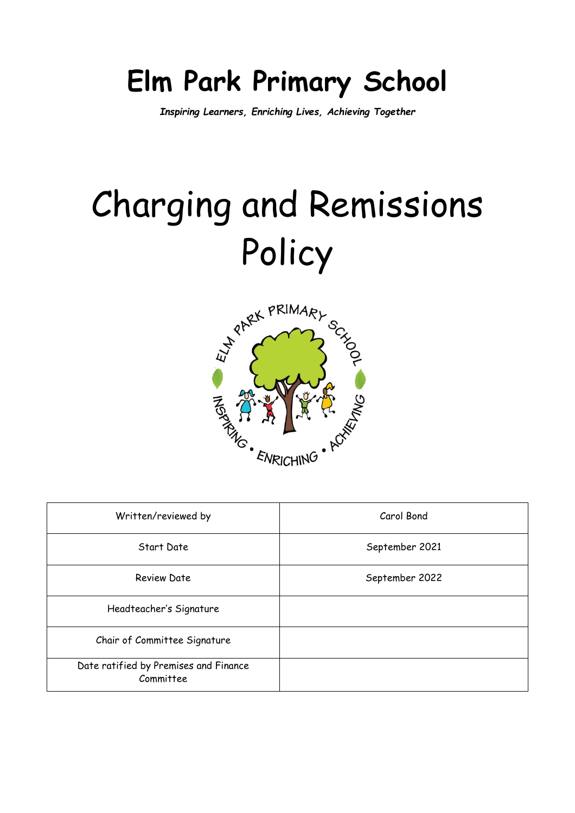# **Elm Park Primary School**

*Inspiring Learners, Enriching Lives, Achieving Together*

# Charging and Remissions Policy



| Written/reviewed by                                | Carol Bond     |
|----------------------------------------------------|----------------|
| Start Date                                         | September 2021 |
| Review Date                                        | September 2022 |
| Headteacher's Signature                            |                |
| Chair of Committee Signature                       |                |
| Date ratified by Premises and Finance<br>Committee |                |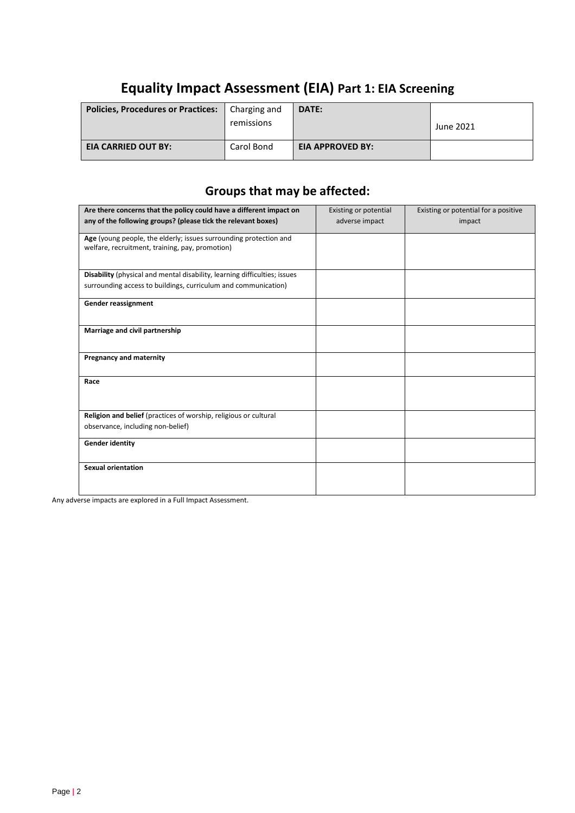# **Equality Impact Assessment (EIA) Part 1: EIA Screening**

| <b>Policies, Procedures or Practices:</b> | Charging and<br>remissions | DATE:                   | June 2021 |
|-------------------------------------------|----------------------------|-------------------------|-----------|
| <b>EIA CARRIED OUT BY:</b>                | Carol Bond                 | <b>EIA APPROVED BY:</b> |           |

# **Groups that may be affected:**

| Are there concerns that the policy could have a different impact on                                                  | Existing or potential | Existing or potential for a positive |
|----------------------------------------------------------------------------------------------------------------------|-----------------------|--------------------------------------|
| any of the following groups? (please tick the relevant boxes)                                                        | adverse impact        | impact                               |
| Age (young people, the elderly; issues surrounding protection and<br>welfare, recruitment, training, pay, promotion) |                       |                                      |
| Disability (physical and mental disability, learning difficulties; issues                                            |                       |                                      |
| surrounding access to buildings, curriculum and communication)                                                       |                       |                                      |
| Gender reassignment                                                                                                  |                       |                                      |
| Marriage and civil partnership                                                                                       |                       |                                      |
| Pregnancy and maternity                                                                                              |                       |                                      |
| Race                                                                                                                 |                       |                                      |
| Religion and belief (practices of worship, religious or cultural                                                     |                       |                                      |
| observance, including non-belief)                                                                                    |                       |                                      |
| <b>Gender identity</b>                                                                                               |                       |                                      |
| <b>Sexual orientation</b>                                                                                            |                       |                                      |

Any adverse impacts are explored in a Full Impact Assessment.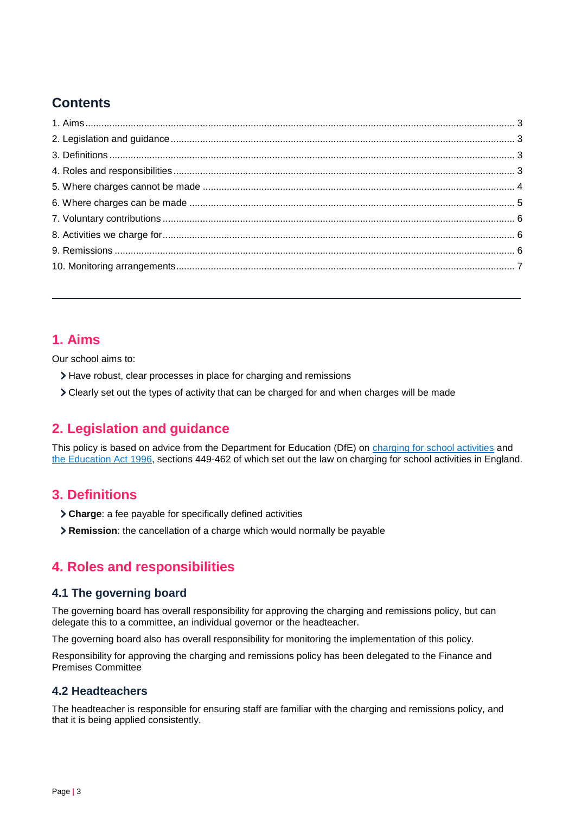# **Contents**

#### <span id="page-2-0"></span>**1. Aims**

Our school aims to:

- Have robust, clear processes in place for charging and remissions
- Clearly set out the types of activity that can be charged for and when charges will be made

## <span id="page-2-1"></span>**2. Legislation and guidance**

This policy is based on advice from the Department for Education (DfE) on [charging for school activities](https://www.gov.uk/government/publications/charging-for-school-activities) and [the Education Act 1996,](http://www.legislation.gov.uk/ukpga/1996/56/part/VI/chapter/III) sections 449-462 of which set out the law on charging for school activities in England.

#### <span id="page-2-2"></span>**3. Definitions**

- **Charge**: a fee payable for specifically defined activities
- **Remission**: the cancellation of a charge which would normally be payable

## <span id="page-2-3"></span>**4. Roles and responsibilities**

#### **4.1 The governing board**

The governing board has overall responsibility for approving the charging and remissions policy, but can delegate this to a committee, an individual governor or the headteacher.

The governing board also has overall responsibility for monitoring the implementation of this policy.

Responsibility for approving the charging and remissions policy has been delegated to the Finance and Premises Committee

#### **4.2 Headteachers**

The headteacher is responsible for ensuring staff are familiar with the charging and remissions policy, and that it is being applied consistently.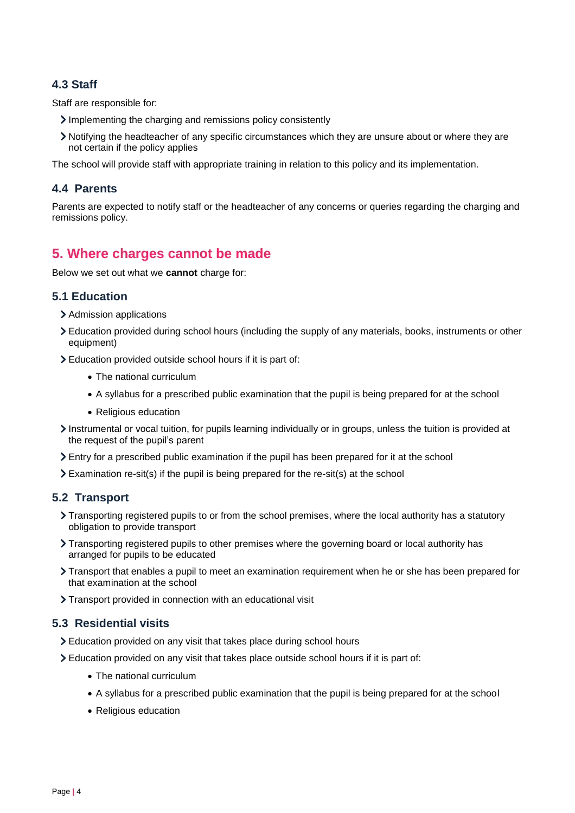#### **4.3 Staff**

Staff are responsible for:

- Implementing the charging and remissions policy consistently
- Notifying the headteacher of any specific circumstances which they are unsure about or where they are not certain if the policy applies

The school will provide staff with appropriate training in relation to this policy and its implementation.

#### **4.4 Parents**

Parents are expected to notify staff or the headteacher of any concerns or queries regarding the charging and remissions policy.

#### <span id="page-3-0"></span>**5. Where charges cannot be made**

Below we set out what we **cannot** charge for:

#### **5.1 Education**

- > Admission applications
- Education provided during school hours (including the supply of any materials, books, instruments or other equipment)
- Education provided outside school hours if it is part of:
	- The national curriculum
	- A syllabus for a prescribed public examination that the pupil is being prepared for at the school
	- Religious education
- Instrumental or vocal tuition, for pupils learning individually or in groups, unless the tuition is provided at the request of the pupil's parent
- Entry for a prescribed public examination if the pupil has been prepared for it at the school
- $\sum$  Examination re-sit(s) if the pupil is being prepared for the re-sit(s) at the school

#### **5.2 Transport**

- Transporting registered pupils to or from the school premises, where the local authority has a statutory obligation to provide transport
- > Transporting registered pupils to other premises where the governing board or local authority has arranged for pupils to be educated
- Transport that enables a pupil to meet an examination requirement when he or she has been prepared for that examination at the school
- > Transport provided in connection with an educational visit

#### **5.3 Residential visits**

- Education provided on any visit that takes place during school hours
- Education provided on any visit that takes place outside school hours if it is part of:
	- The national curriculum
	- A syllabus for a prescribed public examination that the pupil is being prepared for at the school
	- Religious education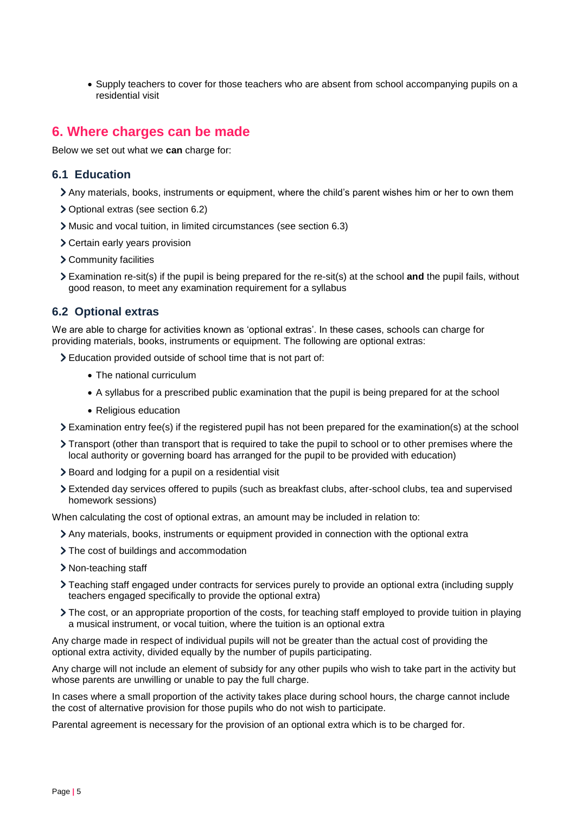• Supply teachers to cover for those teachers who are absent from school accompanying pupils on a residential visit

#### <span id="page-4-0"></span>**6. Where charges can be made**

Below we set out what we **can** charge for:

#### **6.1 Education**

- Any materials, books, instruments or equipment, where the child's parent wishes him or her to own them
- Optional extras (see section 6.2)
- Music and vocal tuition, in limited circumstances (see section 6.3)
- Certain early years provision
- Community facilities
- Examination re-sit(s) if the pupil is being prepared for the re-sit(s) at the school **and** the pupil fails, without good reason, to meet any examination requirement for a syllabus

#### **6.2 Optional extras**

We are able to charge for activities known as 'optional extras'. In these cases, schools can charge for providing materials, books, instruments or equipment. The following are optional extras:

Education provided outside of school time that is not part of:

- The national curriculum
- A syllabus for a prescribed public examination that the pupil is being prepared for at the school
- Religious education
- Examination entry fee(s) if the registered pupil has not been prepared for the examination(s) at the school
- Transport (other than transport that is required to take the pupil to school or to other premises where the local authority or governing board has arranged for the pupil to be provided with education)
- > Board and lodging for a pupil on a residential visit
- Extended day services offered to pupils (such as breakfast clubs, after-school clubs, tea and supervised homework sessions)

When calculating the cost of optional extras, an amount may be included in relation to:

- Any materials, books, instruments or equipment provided in connection with the optional extra
- > The cost of buildings and accommodation
- > Non-teaching staff
- Teaching staff engaged under contracts for services purely to provide an optional extra (including supply teachers engaged specifically to provide the optional extra)
- The cost, or an appropriate proportion of the costs, for teaching staff employed to provide tuition in playing a musical instrument, or vocal tuition, where the tuition is an optional extra

Any charge made in respect of individual pupils will not be greater than the actual cost of providing the optional extra activity, divided equally by the number of pupils participating.

Any charge will not include an element of subsidy for any other pupils who wish to take part in the activity but whose parents are unwilling or unable to pay the full charge.

In cases where a small proportion of the activity takes place during school hours, the charge cannot include the cost of alternative provision for those pupils who do not wish to participate.

Parental agreement is necessary for the provision of an optional extra which is to be charged for.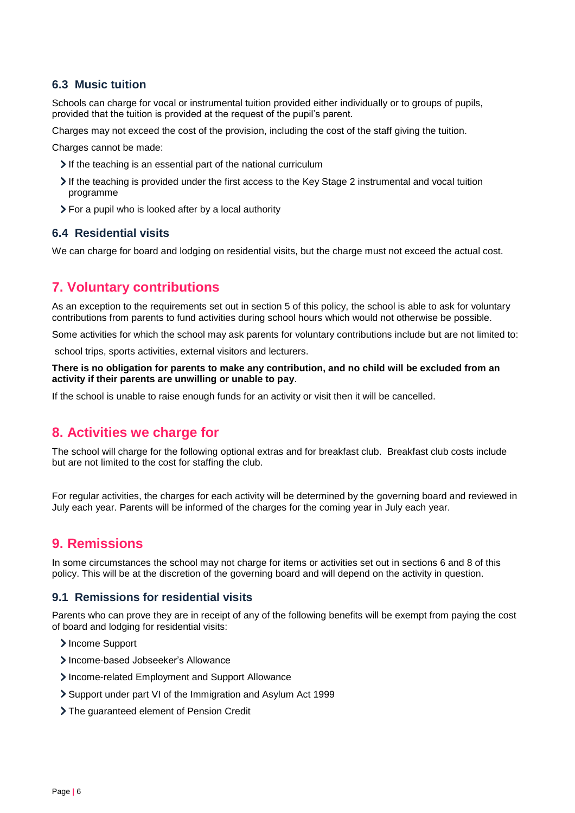#### **6.3 Music tuition**

Schools can charge for vocal or instrumental tuition provided either individually or to groups of pupils, provided that the tuition is provided at the request of the pupil's parent.

Charges may not exceed the cost of the provision, including the cost of the staff giving the tuition.

Charges cannot be made:

- If the teaching is an essential part of the national curriculum
- If the teaching is provided under the first access to the Key Stage 2 instrumental and vocal tuition programme
- For a pupil who is looked after by a local authority

#### **6.4 Residential visits**

We can charge for board and lodging on residential visits, but the charge must not exceed the actual cost.

#### <span id="page-5-0"></span>**7. Voluntary contributions**

As an exception to the requirements set out in section 5 of this policy, the school is able to ask for voluntary contributions from parents to fund activities during school hours which would not otherwise be possible.

Some activities for which the school may ask parents for voluntary contributions include but are not limited to:

school trips, sports activities, external visitors and lecturers.

#### **There is no obligation for parents to make any contribution, and no child will be excluded from an activity if their parents are unwilling or unable to pay**.

If the school is unable to raise enough funds for an activity or visit then it will be cancelled.

#### <span id="page-5-1"></span>**8. Activities we charge for**

The school will charge for the following optional extras and for breakfast club. Breakfast club costs include but are not limited to the cost for staffing the club.

For regular activities, the charges for each activity will be determined by the governing board and reviewed in July each year. Parents will be informed of the charges for the coming year in July each year.

#### <span id="page-5-2"></span>**9. Remissions**

In some circumstances the school may not charge for items or activities set out in sections 6 and 8 of this policy. This will be at the discretion of the governing board and will depend on the activity in question.

#### **9.1 Remissions for residential visits**

Parents who can prove they are in receipt of any of the following benefits will be exempt from paying the cost of board and lodging for residential visits:

- > Income Support
- > Income-based Jobseeker's Allowance
- Income-related Employment and Support Allowance
- Support under part VI of the Immigration and Asylum Act 1999
- > The guaranteed element of Pension Credit